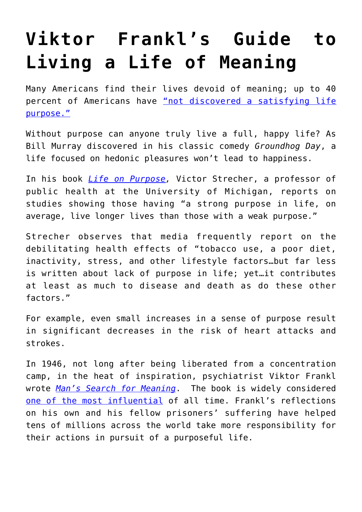## **[Viktor Frankl's Guide to](https://intellectualtakeout.org/2018/02/viktor-frankls-guide-to-living-a-life-of-meaning/) [Living a Life of Meaning](https://intellectualtakeout.org/2018/02/viktor-frankls-guide-to-living-a-life-of-meaning/)**

Many Americans find their lives devoid of meaning; up to 40 percent of Americans have ["not discovered a satisfying life](https://www.theatlantic.com/health/archive/2013/01/theres-more-to-life-than-being-happy/266805/) [purpose."](https://www.theatlantic.com/health/archive/2013/01/theres-more-to-life-than-being-happy/266805/)

Without purpose can anyone truly live a full, happy life? As Bill Murray discovered in his classic comedy *Groundhog Day*, a life focused on hedonic pleasures won't lead to happiness.

In his book *[Life on Purpose,](https://www.amazon.com/Life-Purpose-Matters-Changes-Everything/dp/0062409603)* Victor Strecher, a professor of public health at the University of Michigan, reports on studies showing those having "a strong purpose in life, on average, live longer lives than those with a weak purpose."

Strecher observes that media frequently report on the debilitating health effects of "tobacco use, a poor diet, inactivity, stress, and other lifestyle factors…but far less is written about lack of purpose in life; yet…it contributes at least as much to disease and death as do these other factors."

For example, even small increases in a sense of purpose result in significant decreases in the risk of heart attacks and strokes.

In 1946, not long after being liberated from a concentration camp, in the heat of inspiration, psychiatrist Viktor Frankl wrote *[Man's Search for Meaning](https://www.amazon.com/Mans-Search-Meaning-Viktor-Frankl/dp/080701429X)*. The book is widely considered [one of the most influential](http://www.nytimes.com/1991/11/20/books/book-notes-059091.html) of all time. Frankl's reflections on his own and his fellow prisoners' suffering have helped tens of millions across the world take more responsibility for their actions in pursuit of a purposeful life.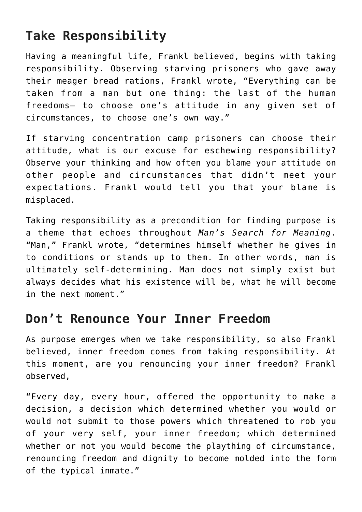## **Take Responsibility**

Having a meaningful life, Frankl believed, begins with taking responsibility. Observing starving prisoners who gave away their meager bread rations, Frankl wrote, "Everything can be taken from a man but one thing: the last of the human freedoms— to choose one's attitude in any given set of circumstances, to choose one's own way."

If starving concentration camp prisoners can choose their attitude, what is our excuse for eschewing responsibility? Observe your thinking and how often you blame your attitude on other people and circumstances that didn't meet your expectations. Frankl would tell you that your blame is misplaced.

Taking responsibility as a precondition for finding purpose is a theme that echoes throughout *Man's Search for Meaning*. "Man," Frankl wrote, "determines himself whether he gives in to conditions or stands up to them. In other words, man is ultimately self-determining. Man does not simply exist but always decides what his existence will be, what he will become in the next moment."

## **Don't Renounce Your Inner Freedom**

As purpose emerges when we take responsibility, so also Frankl believed, inner freedom comes from taking responsibility. At this moment, are you renouncing your inner freedom? Frankl observed,

"Every day, every hour, offered the opportunity to make a decision, a decision which determined whether you would or would not submit to those powers which threatened to rob you of your very self, your inner freedom; which determined whether or not you would become the plaything of circumstance, renouncing freedom and dignity to become molded into the form of the typical inmate."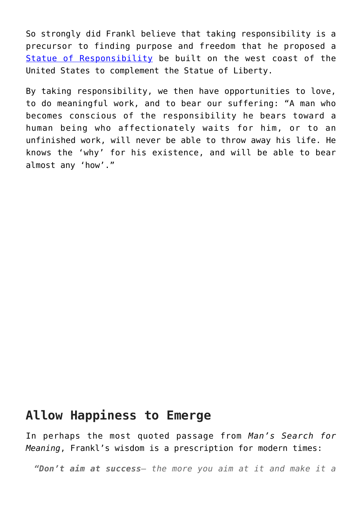So strongly did Frankl believe that taking responsibility is a precursor to finding purpose and freedom that he proposed a [Statue of Responsibility](http://responsibilityfoundation.org/) be built on the west coast of the United States to complement the Statue of Liberty.

By taking responsibility, we then have opportunities to love, to do meaningful work, and to bear our suffering: "A man who becomes conscious of the responsibility he bears toward a human being who affectionately waits for him, or to an unfinished work, will never be able to throw away his life. He knows the 'why' for his existence, and will be able to bear almost any 'how'."

## **Allow Happiness to Emerge**

In perhaps the most quoted passage from *Man's Search for Meaning*, Frankl's wisdom is a prescription for modern times:

*"Don't aim at success— the more you aim at it and make it a*